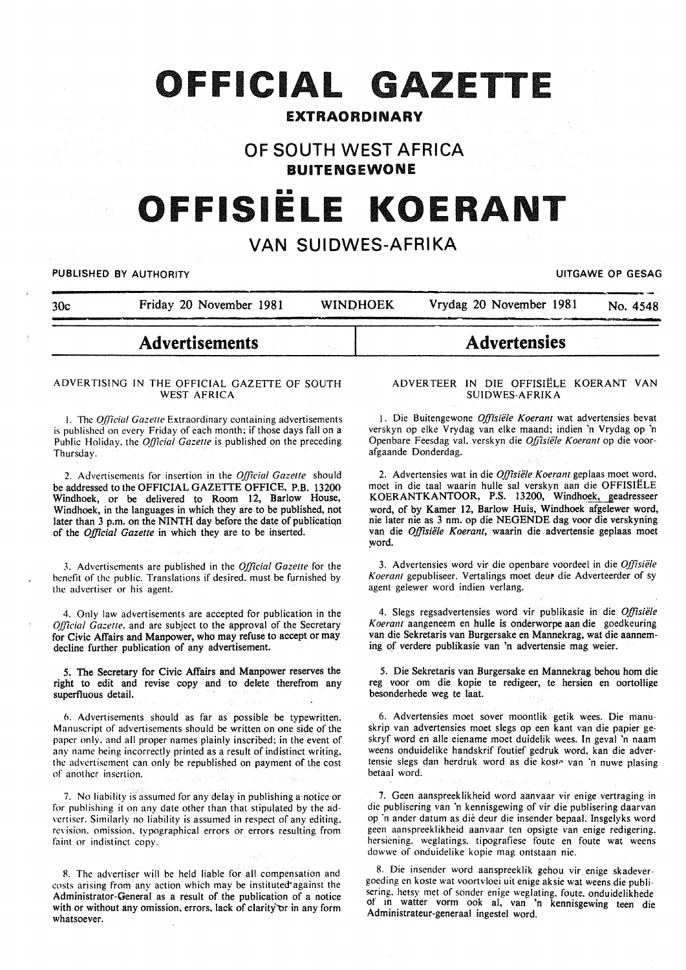# **OFFICIAL GAZETTE**

# EXTRAORDINARY

# **OF SOUTH WEST AFRICA BUITENGEWONE**

# OFFISIËLE KOERANT

# **VAN SUIDWES-AFRIKA**

PUBLISHED BY AUTHORITY **International Contract Contract Contract Contract Contract Contract Contract Contract Contract Contract Contract Contract Contract Contract Contract Contract Contract Contract Contract Contract Cont** 

| 30c | Friday 20 November 1981 |  | WINDHOEK | Vrydag 20 November 1981 | No. 4548 |  |
|-----|-------------------------|--|----------|-------------------------|----------|--|
|     |                         |  |          |                         |          |  |

# **Advertisements**

## ADVERTISING IN THE OFFICIAL GAZETTE OF SOUTH WEST AFRICA

1. The *Official Gazette* Extraordinary containing advertisements is published on every Friday of each month; if those days fall on a Public Holiday. the *Official Gazette* is published on the preceding Thursday.

2. Advertisements for insertion in the *Official Gazelle* should be addressed to the OFFICIAL GAZETTE OFFICE, P.B. 13200 Windhoek, or be delivered to Room 12, Barlow House, Windhoek, in the languages in which they are to be published, not later than 3 p.m. on the NINTH day before the date of publicatiqn of the *Official Gazette* in which they are to be inserted.

3. Advertisements are published in the *Official Gazelle* for the benefit of the public. Translations if desired, must be furnished by the advertiser or his agent.

4. Only law advertisements are accepted for publication in the *Official Gazette*, and are subject to the approval of the Secretary for Civic Affairs and Manpower, who may refuse to accept or may decline further publication of any advertisement.

5. The Secretary for Civic Affairs and Manpower reserves the right to edit and revise copy and to delete therefrom any superfluous detail.

6. Advertisements should as far as possible be typewritten. Manuscript of advertisements should be written on one side of the paper only. and all proper names plainly inscribed; in the event of any name being incorrectly printed as a result of indistinct writing. the advertisement can only be republished on payment of the cost of another insertion.

7. No liability is assumed for any delay in publishing a notice or for publishing it on any date other than that stipulated by the ad vertiser. Similarly no liability is assumed in respect of any editing. revision. omission. typographical errors or errors resulting from faint or indistinct copy.

R. The advertiser will be held liable for all compensation and costs arising from any action which may be instituted against the Administrator-General as a result of the publication of a notice with or without any omission, errors, lack of clarity or in any form whatsoever.

#### ADVERTEER IN DIE OFFISIELE KOERANT VAN SUIDWES-AFRIKA

**Advertensies** 

1. Die Buitengewone *Offisiele Koerant* wat advertensies bevat verskyn op elke Vrydag van elke maand; indien 'n Vrydag op 'n Openbare Feesdag val. verskyn die *Ojjisiele Koerant* op die voorafgaande Donderdag.

2. Advertensies wat in die *Offisiele Koerant* geplaas moet word, moet in die taal waarin hulle sal verskyn aan die OFFISIELE KOERANTKANTOOR, P.S. 13200, Windhoek, geadresseer word, of by Kamer 12, Barlow Huis, Windhoek afgelewer word, nie later nie as 3 nm. op die NEGENDE dag voor die verskyning van die *Offisiële Koerant*, waarin die advertensie geplaas moet word.

3. Advertensies word vir die openbare voordeel in die *Offisiele Koerant* gepubliseer. Vertalings moet deu' die Adverteerder of sy agent gelewer word indien verlang.

4. Slegs regsadvertensies word vir publikasie in die *Offisiele Koerant* aangeneem en hulle is onderworpe aan die goedkeuring van die Sekretaris van Burgersake en Mannekrag, wat die aanneming of verdere publikasie van 'n advertensie mag weier.

5. Die Sekretaris van Burgersake en Mannekrag behou hom die reg voor om die kopie te redigeer, te hersien en oortollige besonderhede weg te laat.

6. Advertensies moet sover moontlik getik wees. Die manuskrip van advertensies moet slegs op een kant van die papier geskryf word en aile eiename moet duidelik wees. In geval 'n naam weens onduidelike handskrif foutief gedruk word, kan die advertensie slegs dan herdruk word as die koste van 'n nuwe plasing betaal word.

7. Geen aanspreeklikheid word aanvaar vir enige vertraging in die publisering van 'n kennisgewing of vir die publisering daarvan op 'n ander datum as die deur die insender bepaal. fnsgelyks word geen aanspreeklikheid aanvaar ten opsigte van enige redigering. hersiening. weglatings. tipografiese foute en foute wat weens dowwe of onduidelike kopie mag ontstaan nie.

8. Die insender word aanspreeklik gehou vir enige skadevergoeding en koste wat voortvloei uit enige aksie wat weens die publisering. hetsy met of sonder enige weglating. foute. onduidelikhede of in watter vorm ook al, van 'n kennisgewing teen die Administrateur-generaal ingestel word.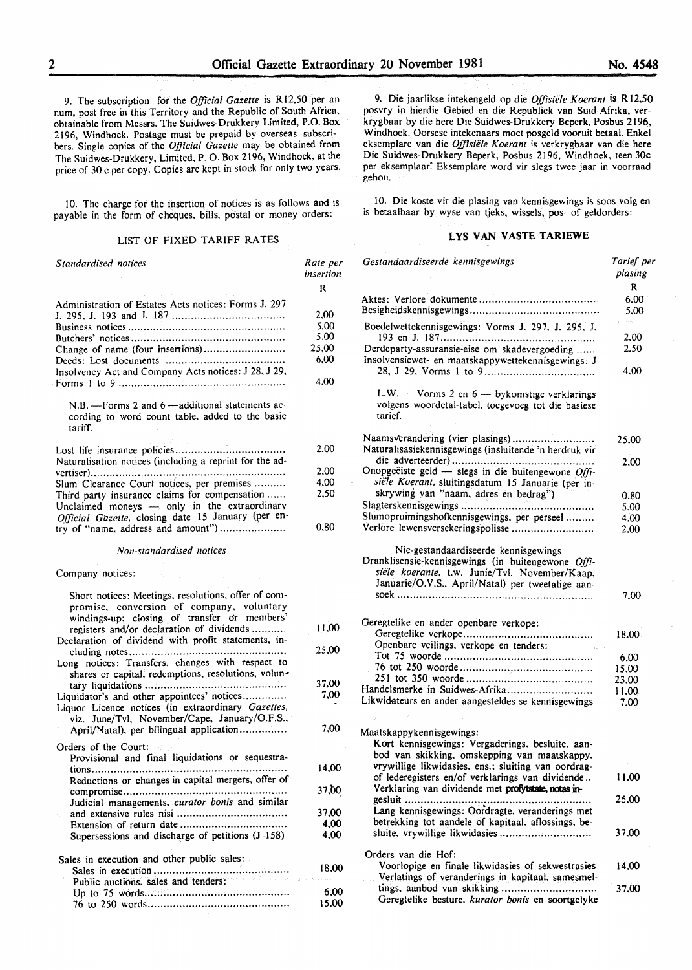9. The subscription for the *Official Gazette* is Rl2,50 per annum, post free in this Territory and the Republic of South Africa, obtainable from Messrs. The Suidwes-Drukkery Limited, P.O. Box 2196, Windhoek. Postage must be prepaid by overseas subscribers. Single copies of the *Official Gazette* may be obtained from The Suidwes-Drukkery, Limited, P. 0. Box 2196, Windhoek, at the price of 30 c per copy. Copies are kept in stock for only two years.

10. The charge for the insertion of notices is as follows and is payable in the form of cheques, bills, postal or money orders:

# LIST OF FIXED TARIFF RATES

| Standardised notices                                                                                                                             | Rate per<br>insertion |
|--------------------------------------------------------------------------------------------------------------------------------------------------|-----------------------|
|                                                                                                                                                  | R                     |
| Administration of Estates Acts notices: Forms J. 297                                                                                             |                       |
|                                                                                                                                                  | 2,00                  |
|                                                                                                                                                  | 5,00                  |
|                                                                                                                                                  | 5,00                  |
| Change of name (four insertions)                                                                                                                 | 25,00                 |
|                                                                                                                                                  | 6,00                  |
| Insolvency Act and Company Acts notices: J 28, J 29,                                                                                             | 4.00                  |
|                                                                                                                                                  |                       |
| N.B. - Forms 2 and 6 - additional statements ac-<br>cording to word count table, added to the basic<br>tariff.                                   |                       |
|                                                                                                                                                  | 2,00                  |
| Naturalisation notices (including a reprint for the ad-                                                                                          |                       |
|                                                                                                                                                  | 2,00                  |
| Slum Clearance Court notices, per premises                                                                                                       | 4.00                  |
| Third party insurance claims for compensation                                                                                                    | 2.50                  |
| Unclaimed moneys $-$ only in the extraordinary<br>Official Gazette, closing date 15 January (per en-                                             |                       |
| try of "name, address and amount")                                                                                                               | 0.80                  |
| Non-standardised notices                                                                                                                         |                       |
| Company notices:                                                                                                                                 |                       |
| Short notices: Meetings, resolutions, offer of com-<br>promise, conversion of company, voluntary<br>windings-up; closing of transfer or members' |                       |
| registers and/or declaration of dividends<br>Declaration of dividend with profit statements, in-                                                 | 11,00                 |
|                                                                                                                                                  | 25,00                 |
| Long notices: Transfers, changes with respect to                                                                                                 |                       |
| shares or capital, redemptions, resolutions, volun-                                                                                              |                       |
|                                                                                                                                                  | 37,00                 |
| Liquidator's and other appointees' notices<br>Liquor Licence notices (in extraordinary Gazettes,                                                 | 7,00                  |
| viz. June/Tvl, November/Cape, January/O.F.S.,                                                                                                    |                       |
| April/Natal), per bilingual application                                                                                                          | 7,00                  |
| Orders of the Court:                                                                                                                             |                       |
| Provisional and final liquidations or sequestra-                                                                                                 |                       |
|                                                                                                                                                  | 14.00                 |
| Reductions or changes in capital mergers, offer of                                                                                               |                       |
|                                                                                                                                                  | 37,00                 |
| Judicial managements, curator bonis and similar                                                                                                  |                       |
|                                                                                                                                                  | 37,00                 |
|                                                                                                                                                  | 4,00                  |
| Supersessions and discharge of petitions (J 158)                                                                                                 | 4.00                  |
| Sales in execution and other public sales:                                                                                                       | 18,00                 |
| Public auctions, sales and tenders:                                                                                                              |                       |
|                                                                                                                                                  | 6,00                  |
|                                                                                                                                                  | 15,00                 |

9. Die jaarlikse intekengeld op die *Offisiele Koerant* is Rl2.50 posvry in hierdie Gebied en die Republiek van Suid-Afrika, verkrygbaar by die here Die Suidwes-Drukkery Beperk, Posbus 2196, Windhoek. Oorsese intekenaars moet posgeld vooruit betaal. Enkel eksemplare van die *Offisiiile Koerant* is verkrygbaar van die here Die Suidwes-Drukkery Beperk, Posbus 2196, Windhoek, teen 30c per eksemplaar. Eksemplare word vir slegs twee jaar in voorraad gehou.

10. Die koste vir die plasing van kennisgewings is soos volg en is betaalbaar by wyse van tjeks, wissels, pos- of geldorders:

# **LYS VAN VASTE TARIEWE**

| Gestandaardiseerde kennisgewings                                                                                                                          | Tarief per<br>plasing |
|-----------------------------------------------------------------------------------------------------------------------------------------------------------|-----------------------|
|                                                                                                                                                           | R                     |
|                                                                                                                                                           | 6.00<br>5.00          |
| Boedelwettekennisgewings: Vorms J. 297, J. 295, J.                                                                                                        | $\gamma_{\rm 2.25-3}$ |
|                                                                                                                                                           | 2.00                  |
| Derdeparty-assuransie-eise om skadevergoeding<br>Insolvensiewet- en maatskappywettekennisgewings: J                                                       | 2.50                  |
|                                                                                                                                                           | 4.00                  |
| L.W. - Vorms 2 en 6 - bykomstige verklarings<br>volgens woordetal-tabel, toegevoeg tot die basiese<br>tarief.                                             |                       |
| Naamsverandering (vier plasings)                                                                                                                          | 25.00                 |
| Naturalisasiekennisgewings (insluitende 'n herdruk vir                                                                                                    |                       |
|                                                                                                                                                           | 2.00                  |
| Onopgeëiste geld - slegs in die buitengewone $Offi$ -                                                                                                     |                       |
| siële Koerant, sluitingsdatum 15 Januarie (per in-                                                                                                        |                       |
| skrywing van "naam, adres en bedrag")                                                                                                                     | 0.80                  |
|                                                                                                                                                           | 5.00                  |
| Slumopruimingshofkennisgewings, per perseel                                                                                                               | 4.00                  |
| Verlore lewensversekeringspolisse                                                                                                                         | 2.00                  |
| Dranklisensie-kennisgewings (in buitengewone Offi-<br>siële koerante, t.w. Junie/Tvl. November/Kaap.<br>Januarie/O.V.S., April/Natal) per tweetalige aan- | 7.00                  |
|                                                                                                                                                           |                       |
| Geregtelike en ander openbare verkope:                                                                                                                    |                       |
|                                                                                                                                                           | 18.00                 |
| Openbare veilings, verkope en tenders:<br>$\sim 10^{11}$ km s $^{-1}$ m s $^{-1}$                                                                         |                       |
|                                                                                                                                                           | 6.00                  |
|                                                                                                                                                           | 15.00                 |
|                                                                                                                                                           | 23,00                 |
| Handelsmerke in Suidwes-Afrika                                                                                                                            | 11,00                 |
| Likwidateurs en ander aangesteldes se kennisgewings                                                                                                       | 7.00                  |
|                                                                                                                                                           |                       |
| Maatskappykennisgewings:                                                                                                                                  |                       |
| Kort kennisgewings: Vergaderings, besluite, aan-                                                                                                          |                       |
| bod van skikking, omskepping van maatskappy.                                                                                                              |                       |
| vrywillige likwidasies. ens.: sluiting van oordrag-                                                                                                       |                       |
| of lederegisters en/of verklarings van dividende<br>Verklaring van dividende met profytstate, notas in-                                                   | 11,00                 |
|                                                                                                                                                           | 25,00                 |
| Lang kennisgewings: Oordragte, veranderings met                                                                                                           |                       |
| betrekking tot aandele of kapitaal, aflossings, be-                                                                                                       |                       |
| sluite, vrywillige likwidasies                                                                                                                            | 37.00                 |
|                                                                                                                                                           |                       |
| Orders van die Hof:                                                                                                                                       |                       |
| Voorlopige en finale likwidasies of sekwestrasies                                                                                                         | 14.00                 |
| Verlatings of veranderings in kapitaal, samesmel-                                                                                                         |                       |
| tings, aanbod van skikking<br>Geregtelike besture, kurator bonis en soortgelyke                                                                           | 37.00                 |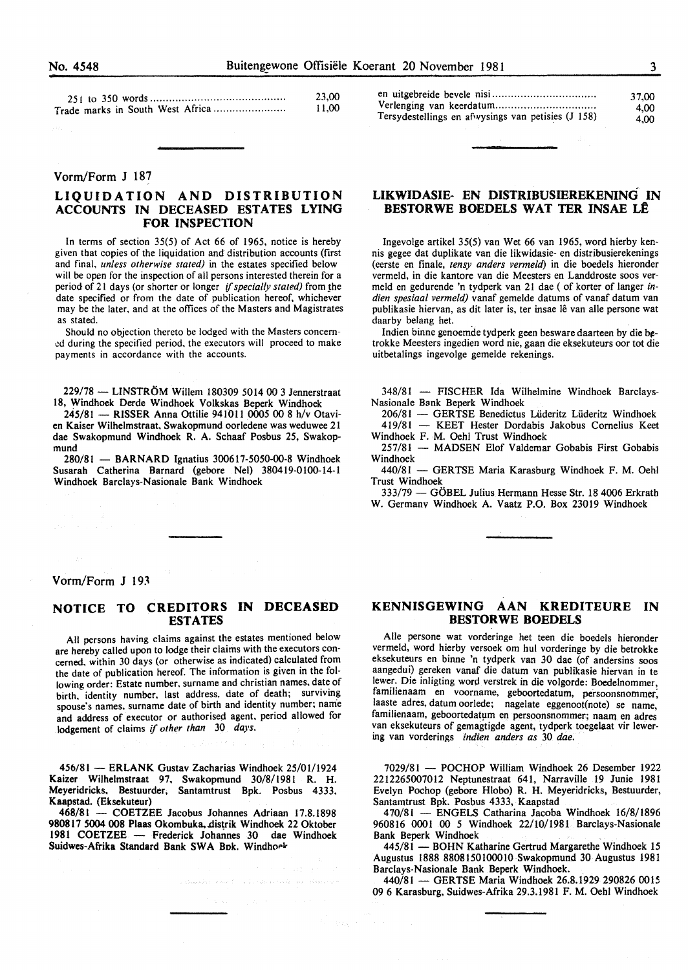|  | ٠, |    |
|--|----|----|
|  |    |    |
|  |    |    |
|  | ۰. | ۰, |

| 23,00 | en uitgel |
|-------|-----------|
| 11.00 | Verlengi  |

#### Vorm/Form J 187

# LIQUIDATION AND DISTRIBUTION ACCOUNTS IN DECEASED ESTATES LYING FOR INSPECTION

In terms of section  $35(5)$  of Act 66 of 1965, notice is hereby given that copies of the liquidation and distribution accounts (first and final, *unless otherwise stated)* in the estates specified below will be open for the inspection of all persons interested therein for a period of 21 days (or shorter or longer *if specially stated)* from the date specified or from the date of publication hereof. whichever may be the later, and at the offices of the Masters and Magistrates as stated.

Should no objection thereto be lodged with the Masters concern- .:d during the specified period, the executors will proceed to make payments in accordance with the accounts.

229/78 - LINSTRÖM Willem 180309 5014 00 3 Jennerstraat 18, Windhoek Derde Windhoek Volkskas Beperk Windhoek

245/81 - RISSER Anna Ottilie 941011 0005 00 8 h/v Otavien Kaiser Wilhelmstraat, Swakopmund oorledene was weduwee 21 dae Swakopmund Windhoek R. A. Schaaf Posbus 25, Swakopmund

280/81 - BARNARD Ignatius 300617-5050-00-8 Windhoek Susarah Catherina Barnard (gebore Nel) 380419-0100-14-1 Windhoek Barclays-Nasionale Bank Windhoek

|                                                    | 37.00 |
|----------------------------------------------------|-------|
|                                                    | 4.00  |
| Tersydestellings en afwysings van petisies (J 158) | 4.00  |

# LIKWIDASIE- EN DISTRIBUSIEREKENING IN BESTORWE BOEDELS WAT TER INSAE LE

Ingevolge artikel 35(5) van Wet 66 van 1965, word hierby kennis gegee dat duplikate van die likwidasie- en distribusierekenings (eerste en finale, *tensy anders vermeld)* in die boedels hieronder vermeld, in die kantore van die Meesters en Landdroste soos vermeld en gedurende 'n tydperk van 21 dae ( of korter of Ianger *indien spesiaal vermeld)* vanaf gemelde datums of vanaf datum van publikasie hiervan, as dit later is, ter insae lê van alle persone wat daarby belang het.

Indien binne genoemde tydperk geen besware daarteen by die betrokke Meesters ingedien word nie, gaan die eksekuteurs oor tot die uitbetalings ingevolge gemelde rekenings.

348/81 - FISCHER Ida Wilhelmine Windhoek Barclays-Nasionale B8nk Beperk Windhoek

206/81 - GERTSE Benedictus Liideritz Liideritz Windhoek 419/81 - KEET Hester Dordabis Jakobus Cornelius Keet Windhoek F. M. Oehl Trust Windhoek

257/81 - MADSEN Elof Valdemar Gobabis First Gobabis Windhoek

440/81 - GERTSE Maria Karasburg Windhoek F. M. Oehl Trust Windhoek

333/79 - GÖBEL Julius Hermann Hesse Str. 18 4006 Erkrath W. Germany Windhoek A. Vaatz P.O. Box 23019 Windhoek

Vorm/Form J 193

# NOTICE TO CREDITORS IN DECEASED ESTATES

All persons having claims against the estates mentioned below are hereby called upon to lodge their claims with the executors concerned, within 30 days (or otherwise as indicated) calculated from the date of publication hereof. The information is given in the following order: Estate number. surname and christian names. date of birth. identity number, last address, date of death; surviving spouse's names, surname date of birth and identity number; name and address of executor or authorised agent. period allowed for lodgement of claims if *other than* 30 *days.* 

456/81 - ERLANK Gustav Zacharias Windhoek 25/01/1924 Kaizer Wilhelmstraat 97. Swakopmund 30/8/1981 R. H. Meyeridricks. Bestuurder, Santamtrust Bpk. Posbus 4333. Kaapstad. (Eksekuteur)

468/81 - COETZEE Jacobus Johannes Adriaan 17.8.1898 980817 5004 008 Plaas Okombuka, distrik Windhoek 22 Oktober 1981 COETZEE - Frederick Johannes 30 dae Windhoek Suidwes-Afrika Standard Bank SWA Bok. Windhoek

palagodina sensat - Elizabeth Conference

state page of a

# KENNISGEWING AAN KREDITEURE IN BESTORWE BOEDELS

Aile persone wat vorderinge het teen die boedels hieronder vermeld, word hierby versoek om hul vorderinge by die betrokke eksekuteurs en binne 'n tydperk van 30 dae (of andersins soos aangedui) gereken vanaf die datum van publikasie hiervan in te lewer. Die inligting word verstrek in die volgorde: Boedelnommer, familienaam en voorname, geboortedatum, persoonsnommer; laaste adres, datum oorlede; nagelate eggenoot(note) se name, familienaam, geboortedatum en persoonsnommer; naam en adres van eksekuteurs of gemagtigde agent, tydperk toegelaat vir lewering van vorderings *indien anders as* 30 *dae.* 

7029/81 - POCHOP William Windhoek 26 Desember 1922 2212265007012 Neptunestraat 641, Narraville 19 Junie 1981 Evelyn Pochop (gebore Hlobo) R. H. Meyeridricks, Bestuurder, Santamtrust Bpk. Posbus 4333, Kaapstad

470/81 - ENGELS Catharina Jacoba Windhoek 16/8/1896 960816 0001 00 *5* Windhoek 22/10/1981 Barclays-Nasionale Bank Beperk Windhoek

445/81 - BOHN Katharine Gertrud Margarethe Windhoek 15 Augustus 1888 8808150100010 Swakopmund 30 Augustus 1981 Barclays-Nasionale Bank Beperk Windhoek.

440/81 - GERTSE Maria Windhoek 26.8.1929 290826 0015 09 6 Karasburg, Suidwes-Afrika 29.3.1981 F. M. Oehl Windhoek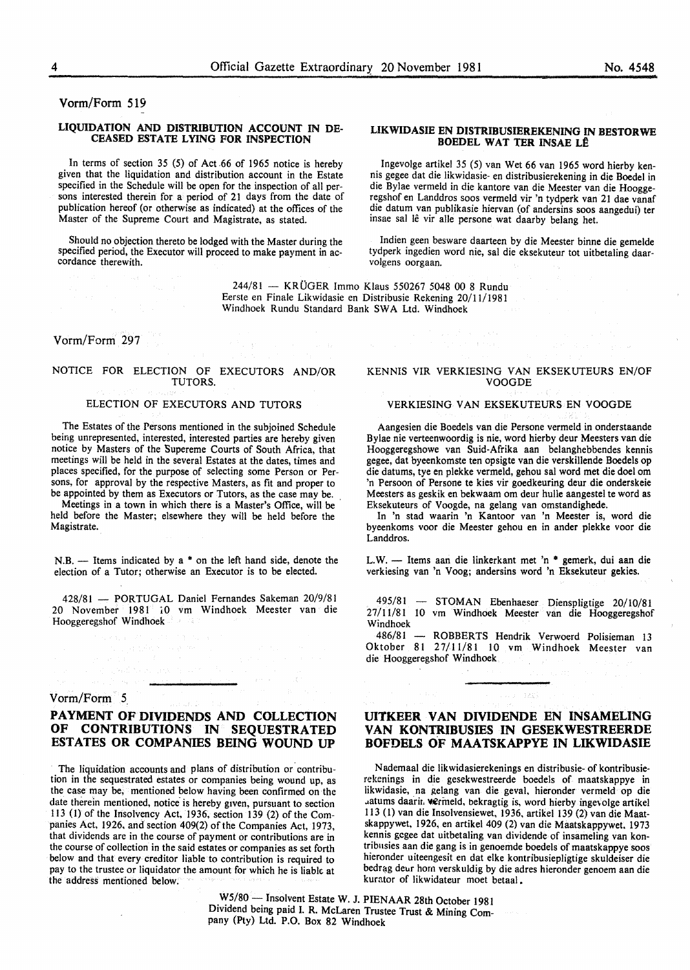Vorm/Form 519

#### LIQUIDATION AND DISTRIBUTION ACCOUNT IN DE-CEASED ESTATE LYING FOR INSPECTION

In terms of section 35 (5) of Act .66 of 1965 notice is hereby given that the liquidation and distribution account in the Estate specified in the Schedule will be open for the inspection of all persons interested therein for a period of 21 days from the date of publication hereof (or otherwise as indicated) at the offices of the Master of the Supreme Court and Magistrate, as stated.

Should no objection thereto be lodged with the Master during the specified period, the Executor will proceed to make payment in ac- cordance therewith.

> 244/81 - KRÜGER Immo Klaus 550267 5048 00 8 Rundu Eerste en Finale Likwidasie en Distribusie Rekening 20/11/1981 Windhoek Rundu Standard Bank SWA Ltd. Windhoek

Vorm/Form 297

#### NOTICE FOR ELECTION OF EXECUTORS AND/OR TUTORS.

#### ELECTION OF EXECUTORS AND TUTORS

The Estates of the Persons mentioned in the subjoined Schedule being unrepresented, interested, interested parties are hereby given notice by Masters of the Supereme Courts of South Africa, that meetings will be held in the several Estates at the dates, times and places specified, for the purpose of selecting some Person or Persons, for approval by the respective Masters, as fit and proper to be appointed by them as Executors or Tutors, as the case may be.

Meetings in a town in which there is a Master's Office, will be held before the Master; elsewhere they will be held before the Magistrate.

 $N.B.$  - Items indicated by a  $*$  on the left hand side, denote the election of a Tutor; otherwise an Executor is to be elected.

428/81 - PORTUGAL Daniel Fernandes Sakeman 20/9/81 20 November 1981 iO vm Windhoek Meester van die Hooggeregshof Windhoek

## Vorm/Form 5

# **PAYMENT OF DIVIDENDS AND COLLECTION<br>OF CONTRIBUTIONS IN SEQUESTRATED** CONTRIBUTIONS IN SEQUESTRATED ESTATES OR COMPANIES BEING WOUND UP

The liquidation accounts and plans of distribution or contribution in the sequestrated estates or companies being wound up, as the case may be, mentioned below having been confirmed on the date therein mentioned, notice is hereby given, pursuant to section 113 (I) of the Insolvency Act, 1936, section 139 (2) of the Companies Act, 1926, and section 409(2) of the Companies Act, 1973, that dividends are in the course of payment or contributions are in the course of collection in the said estates or companies as set forth below and that every creditor liable to contribution is required to pay to the trustee or liquidator the amount for which he is liabk at the address mentioned below.

#### LIKWIDASIE EN DISTRIBUSIEREKENING IN BESTORWE BOEDEL WAT TER INSAE LÊ

Ingevolge artikel 35 (5) van Wet 66 van 1965 word hierby kennis gegee dat die likwidasie- en distribusierekening in die Boedel in die Bylae vermeld in die kantore van die Meester van die Hooggeregshof en Landdros soos vermeld vir 'n tydperk van 21 dae vanaf die datum van publikasie hiervan (of andersins soos aangedui) ter insae sal le vir aile persone wat daarby belang het.

Indien geen besware daarteen by die Meester binne die gemelde tydperk ingedien word nie, sal die eksekuteur tot uitbetaling daarvolgens oorgaan.

## KENNIS VIR VERKIESING VAN EKSEKUTEURS EN/OF VOOGDE

#### VERKIESING VAN EKSEKUTEURS EN VOOGDE

Aangesien die Boedels van die Persone vermeld in onderstaande Bylae nie verteenwoordig is nie, word hierby deur Meesters van die Hooggeregshowe van Suid-Afrika aan belanghebbendes kennis gegee, dat byeenkomste ten opsigte van die verskillende Boedels op die datums, tye en plekke vermeld, gehou sal word met die doe! om 'n Persoon of Persone te kies vir goedkeuring deur die onderskeie Meesters as geskik en bekwaam om deur hulle aangestel te word as Eksekuteurs of Voogde, na gelang van omstandighede.

In 'n stad waarin 'n Kantoor van 'n Meester is, word die byeenkoms voor die Meester gehou en in ander plekke voor die Landdros.

L.W.- Items aan die linkerkant met 'n \* gemerk, dui aan die verkiesing van 'n Voog; andersins word 'n Eksekuteur gekies.

495/81 - STOMAN Ebenhaeser Dienspligtige 20/10/81 27/11/81 10 vm Windhoek Meester van die Hooggeregshof Windhoek

486/81 - ROBBERTS Hendrik Verwoerd Polisieman 13 Oktober 81 27/11/81 10 vm Windhoek Meester van die Hooggeregshof Windhoek

# UITKEER VAN DIVIDENDE EN INSAMELING VAN KONTRIBUSIES IN GESEKWESTREERDE BOFDELS OF MAATSKAPPYE IN LIKWIDASIE

in special

N ademaal die likwidasierekenings en distribusie- of kontribusierekenings in die gesekwestreerde boedels of maatskappye in likwidasie, na gelang van die geval, hieronder vermeld op die uatums daarir. wermeld, bekragtig is, word hierby ingevolge artikel 113 (I) van die Insolvensiewet, 1936, artikel 139 (2) van die Maatskappywet, 1926, en artikel 409 (2) van die Maatskappywet, 1973 kennis gcgee dat uitbetaling van dividende of insameling van kontribnsies aan die gang is in genoemde boedels of maatskappye soos hieronder uiteengesit en dat elke kontribusiepligtige skuldeiser die bedrag deur hom verskuldig by die adres hieronder genoem aan die kurator of likwidateur moet betaal.

W5/80 - Insolvent Estate W. J. PIENAAR 28th October 1981 Dividend being paid I. R. McLaren Trustee Trust & Mining Company (Pty) Ltd. P.O. Box 82 Windhoek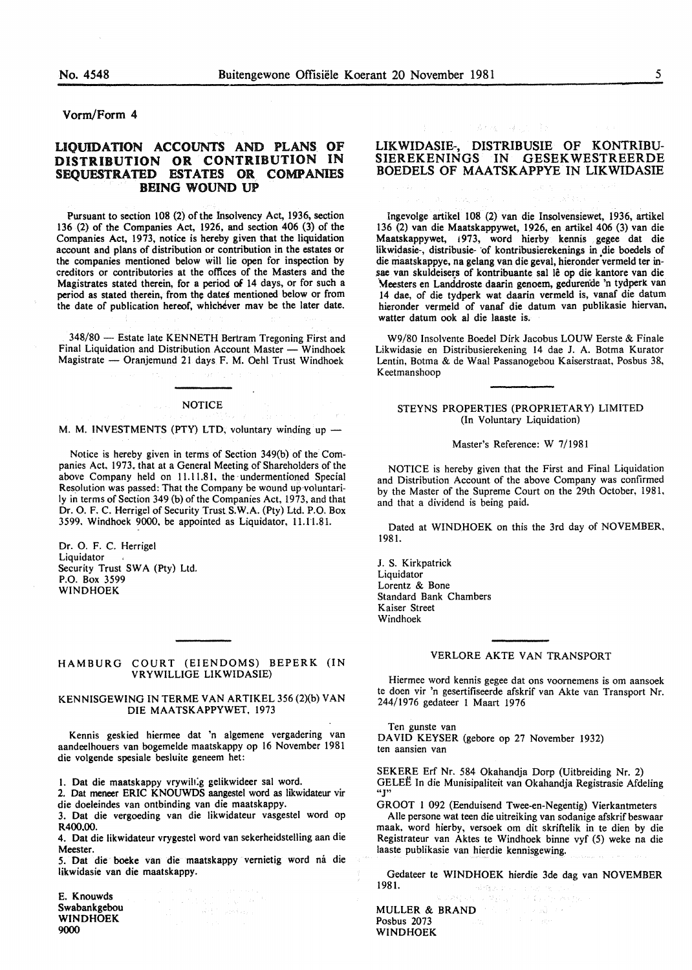## Vorm/Form 4

# LIQUIDATION ACCOUNTS AND PLANS OF DISTRIBUTION OR CONTRIBUTION IN SEQUESTRATED ESTATES OR COMPANIES BEING WOUND UP

Pursuant to section 108 (2) of the Insolvency Act, 1936, section 136 (2) of the Companies Act, 1926, and section 406 (3) of the Companies Act, 1973, notice is hereby given that the liquidation account and plans of distribution or contribution in the estates or the companies mentioned below will lie open for inspection by creditors or contributories at the offices of the Masters and the Magistrates stated therein, for a period *oi* 14 days, or for such a period as stated therein, from the dates mentioned below or from the date of publication hereof, whichever may be the later date.

348/80 - Estate late KENNETH Bertram Tregoning First and Final Liquidation and Distribution Account Master - Windhoek Magistrate - Oranjemund 21 days F. M. Oehl Trust Windhoek

#### **NOTICE**

M. M. INVESTMENTS (PTY) LTD, voluntary winding up -

Notice is hereby given in terms of Section 349(b) of the Companies Act. 1973. that at a General Meeting of Shareholders of the above Company held on 11.11.81, the undermentioned Special Resolution was passed: That the Company be wound up-voluntarily in terms of Section 349 (b) of the Companies Act, 1973, and that Dr. 0. F. C. Herrigel of Security Trust S.W.A. (Pty) Ltd. P.O. Box 3599. Windhoek 9000, be appointed as Liquidator, 11.11.81.

Dr. 0. F. C. Herrigel Liquidator Security Trust SWA (Pty) Ltd. P.O. Box 3599 WINDHOEK

#### HAMBURG COURT (EIENDOMS) BEPERK (IN VRYWILLIGE LIKWIDASIE)

#### KENNISGEWING IN TERME VAN ARTIKEL 356 (2)(b) VAN DIE MAATSKAPPYWET, 1973

Kennis geskied hiermee dat 'n algemene vergadering van aandeelhouers van bogemelde maatskappy op 16 November 1981 die volgende spesiale besluite geneem het:

I. Oat die maatskappy vrywih:g gelikwideer sal word.

2. Oat meneer ERIC KNOUWDS aangestel word as likwidateur vir die doeleindes van ontbinding van die maatskappy.

3. Oat die vergoeding van die likwidateur vasgestel word op R400.00.

4. Oat die likwidateur vrygestel word van sekerheidstelling aan die Meester.

5. Oat die boeke van die maatskappy vernietig word mi die likwidasie van die maatskappy.

 $\mathbb{R}^{2\times 2\times 2}$  , with  $\mathbb{C}_{2\times 2}$ 

E. Knouwds Swabankgebou WINDHOEK 9000

# LIKWIDASIE-, DISTRIBUSIE OF KONTRIBU-SIEREKENINGS IN GESEKWESTREERDE BOEDELS OF MAATSKAPPYE IN LIKWIDASIE

 $\rightarrow$  4.1

Ingevolge artikel 108 (2) van die Insolvensiewet, 1936, artikel 136 (2) van die Maatskappywet, 1926, en artikel 406 (3) van die Maatskappywet, 1973, word hierby kennis gegee dat die likwidasie-, distribusie- of kontribusierekenings in die boedels of die niaatskappye, na gelang van die geval, hieronder'vermeld ter in sae van skuldeisers of kontribuante sal lê op die kantore van die \feesters en Landdroste daarin genoem, gedurende 'n tydperk van 14 dae, of die tydperk wat daarin vermeld is, vanaf die datum hieronder vermeld of vanaf die datum van publikasie hiervan, watter datum ook al die laaste is.

W9/80 Insolvente Boedel Dirk Jacobus LOUW Eerste & Finale Likwidasie en Distribusierekening 14 dae J. A. Botma Kurator Lentin, Botma & de Waal Passanogebou Kaiserstraat, Posbus 38, Keetmanshoop

#### STEYNS PROPERTIES (PROPRIETARY) LIMITED (In Voluntary Liquidation)

#### Master's Reference: W 7/1981

NOTICE is hereby given that the First and Final Liquidation and Distribution Account of the above Company was confirmed by the Master of the Supreme Court on the 29th October, 1981, and that a dividend is being paid.

Dated at WINDHOEK on this the 3rd day of NOVEMBER, 1981.

J. S. Kirkpatrick Liquidator Lorentz & Bone Standard Bank Chambers Kaiser Street Windhoek

#### VERLORE AKTE VAN TRANSPORT

Hiermee word kennis gegee dat ons voornemens is om aansoek te doen vir 'n gesertifiseerde afskrif van Akte van Transport Nr. 244/1976 gedateer 1 Maart 1976

Ten gunste van DAVID KEYSER (gebore op 27 November 1932) ten aansien van

SEKERE Erf Nr. 584 Okahandja Dorp (Uitbreiding Nr. 2) GELEE In die Munisipaliteit van Okahandja Registrasie Afdeling ""

GROOT 1 092 (Eenduisend Twee-en-Negentig) Vierkantmeters Alle persone wat teen die uitreiking van sodanige afskrif beswaar

maak, word hierby, versoek om dit skriftelik in te dien by die Registrateur van Aktes te Windhoek binne vyf (5) weke na die laaste publikasie van hierdie kennisgewing.

Gedateer te WINDHOEK hierdie 3de dag van NOVEMBER 1981. 回道:

MULLER & BRAND Posbus 2073 WINDHOEK